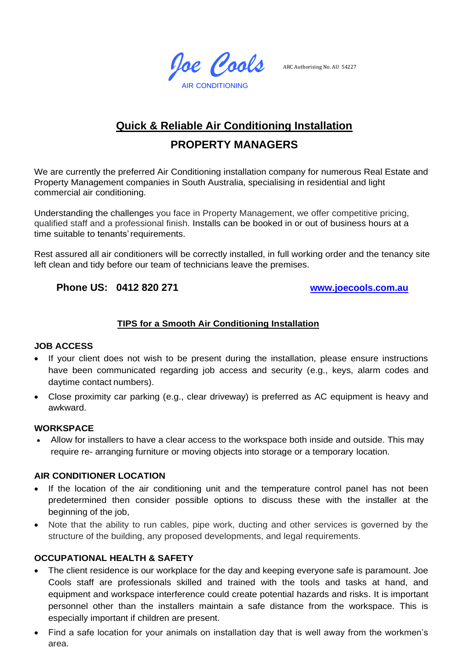*Joe Cools* AIR CONDITIONING

ARC Authorising No. AU 54227

# **Quick & Reliable Air Conditioning Installation**

## **PROPERTY MANAGERS**

We are currently the preferred Air Conditioning installation company for numerous Real Estate and Property Management companies in South Australia, specialising in residential and light commercial air conditioning.

Understanding the challenges you face in Property Management, we offer competitive pricing, qualified staff and a professional finish. Installs can be booked in or out of business hours at a time suitable to tenants'requirements.

Rest assured all air conditioners will be correctly installed, in full working order and the tenancy site left clean and tidy before our team of technicians leave the premises.

### **Phone US: 0412 820 271 [www.joecools.com.au](http://www.joecools.com.au/)**

#### **TIPS for a Smooth Air Conditioning Installation**

#### **JOB ACCESS**

- If your client does not wish to be present during the installation, please ensure instructions have been communicated regarding job access and security (e.g., keys, alarm codes and daytime contact numbers).
- Close proximity car parking (e.g., clear driveway) is preferred as AC equipment is heavy and awkward.

#### **WORKSPACE**

• Allow for installers to have a clear access to the workspace both inside and outside. This may require re- arranging furniture or moving objects into storage or a temporary location.

#### **AIR CONDITIONER LOCATION**

- If the location of the air conditioning unit and the temperature control panel has not been predetermined then consider possible options to discuss these with the installer at the beginning of the job,
- Note that the ability to run cables, pipe work, ducting and other services is governed by the structure of the building, any proposed developments, and legal requirements.

#### **OCCUPATIONAL HEALTH & SAFETY**

- The client residence is our workplace for the day and keeping everyone safe is paramount. Joe Cools staff are professionals skilled and trained with the tools and tasks at hand, and equipment and workspace interference could create potential hazards and risks. It is important personnel other than the installers maintain a safe distance from the workspace. This is especially important if children are present.
- Find a safe location for your animals on installation day that is well away from the workmen's area.